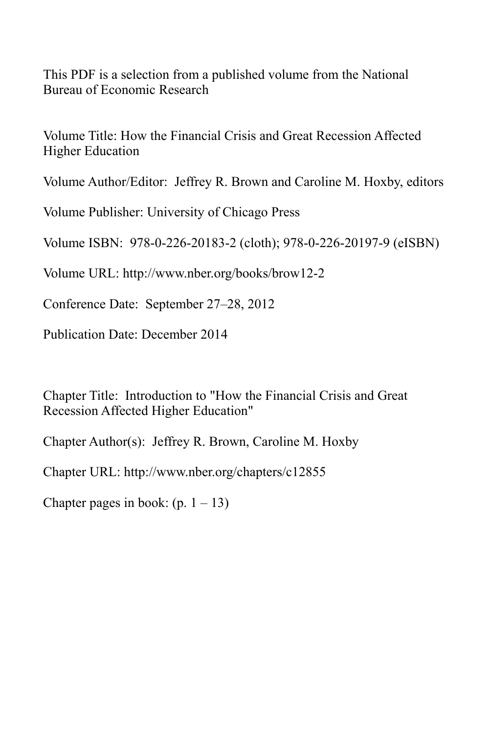This PDF is a selection from a published volume from the National Bureau of Economic Research

Volume Title: How the Financial Crisis and Great Recession Affected Higher Education

Volume Author/Editor: Jeffrey R. Brown and Caroline M. Hoxby, editors

Volume Publisher: University of Chicago Press

Volume ISBN: 978-0-226-20183-2 (cloth); 978-0-226-20197-9 (eISBN)

Volume URL: http://www.nber.org/books/brow12-2

Conference Date: September 27–28, 2012

Publication Date: December 2014

Chapter Title: Introduction to "How the Financial Crisis and Great Recession Affected Higher Education"

Chapter Author(s): Jeffrey R. Brown, Caroline M. Hoxby

Chapter URL: http://www.nber.org/chapters/c12855

Chapter pages in book:  $(p. 1 - 13)$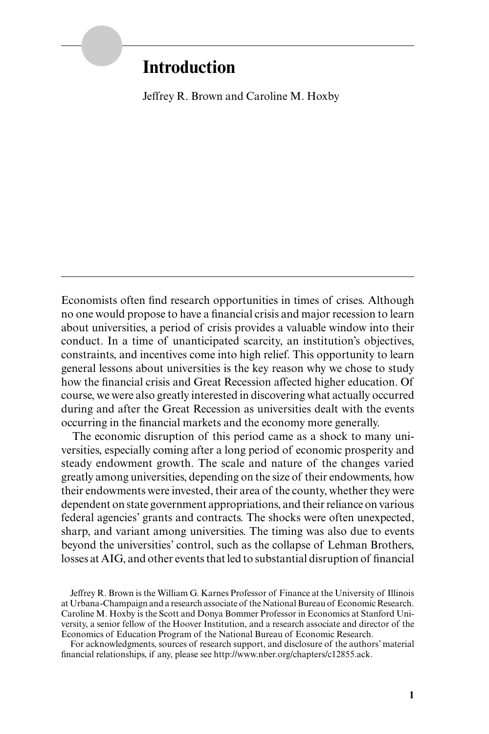# **Introduction**

Jeffrey R. Brown and Caroline M. Hoxby

Economists often find research opportunities in times of crises. Although no one would propose to have a financial crisis and major recession to learn about universities, a period of crisis provides a valuable window into their conduct. In a time of unanticipated scarcity, an institution's objectives, constraints, and incentives come into high relief. This opportunity to learn general lessons about universities is the key reason why we chose to study how the financial crisis and Great Recession affected higher education. Of course, we were also greatly interested in discovering what actually occurred during and after the Great Recession as universities dealt with the events occurring in the financial markets and the economy more generally.

The economic disruption of this period came as a shock to many universities, especially coming after a long period of economic prosperity and steady endowment growth. The scale and nature of the changes varied greatly among universities, depending on the size of their endowments, how their endowments were invested, their area of the county, whether they were dependent on state government appropriations, and their reliance on various federal agencies' grants and contracts. The shocks were often unexpected, sharp, and variant among universities. The timing was also due to events beyond the universities' control, such as the collapse of Lehman Brothers, losses at AIG, and other events that led to substantial disruption of financial

Jeffrey R. Brown is the William G. Karnes Professor of Finance at the University of Illinois at Urbana-Champaign and a research associate of the National Bureau of Economic Research. Caroline M. Hoxby is the Scott and Donya Bommer Professor in Economics at Stanford University, a senior fellow of the Hoover Institution, and a research associate and director of the Economics of Education Program of the National Bureau of Economic Research.

For acknowledgments, sources of research support, and disclosure of the authors' material financial relationships, if any, please see http://www.nber.org/chapters/c12855.ack.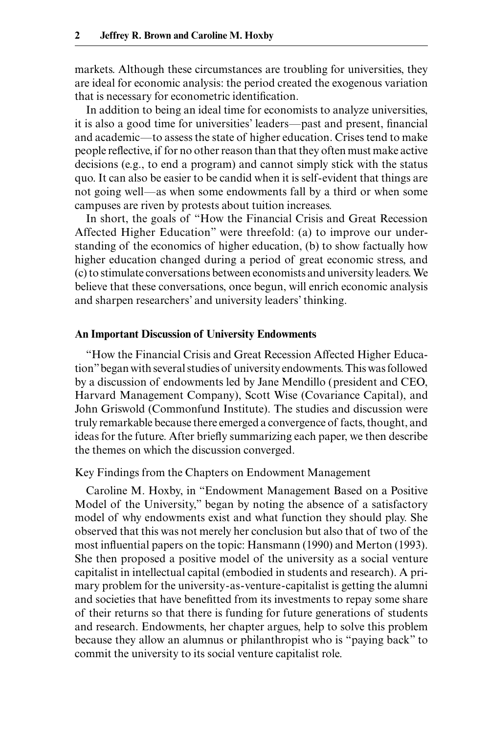markets. Although these circumstances are troubling for universities, they are ideal for economic analysis: the period created the exogenous variation that is necessary for econometric identification.

In addition to being an ideal time for economists to analyze universities, it is also a good time for universities' leaders—past and present, financial and academic—to assess the state of higher education. Crises tend to make people reflective, if for no other reason than that they often must make active decisions (e.g., to end a program) and cannot simply stick with the status quo. It can also be easier to be candid when it is self-evident that things are not going well—as when some endowments fall by a third or when some campuses are riven by protests about tuition increases.

In short, the goals of "How the Financial Crisis and Great Recession Affected Higher Education" were threefold: (a) to improve our understanding of the economics of higher education, (b) to show factually how higher education changed during a period of great economic stress, and (c) to stimulate conversations between economists and university leaders. We believe that these conversations, once begun, will enrich economic analysis and sharpen researchers' and university leaders' thinking.

#### **An Important Discussion of University Endowments**

"How the Financial Crisis and Great Recession Affected Higher Education" began with several studies of university endowments. This was followed by a discussion of endowments led by Jane Mendillo (president and CEO, Harvard Management Company), Scott Wise (Covariance Capital), and John Griswold (Commonfund Institute). The studies and discussion were truly remarkable because there emerged a convergence of facts, thought, and ideas for the future. After briefly summarizing each paper, we then describe the themes on which the discussion converged.

#### Key Findings from the Chapters on Endowment Management

Caroline M. Hoxby, in "Endowment Management Based on a Positive Model of the University," began by noting the absence of a satisfactory model of why endowments exist and what function they should play. She observed that this was not merely her conclusion but also that of two of the most influential papers on the topic: Hansmann (1990) and Merton (1993). She then proposed a positive model of the university as a social venture capitalist in intellectual capital (embodied in students and research). A primary problem for the university-as-venture-capitalist is getting the alumni and societies that have benefitted from its investments to repay some share of their returns so that there is funding for future generations of students and research. Endowments, her chapter argues, help to solve this problem because they allow an alumnus or philanthropist who is "paying back" to commit the university to its social venture capitalist role.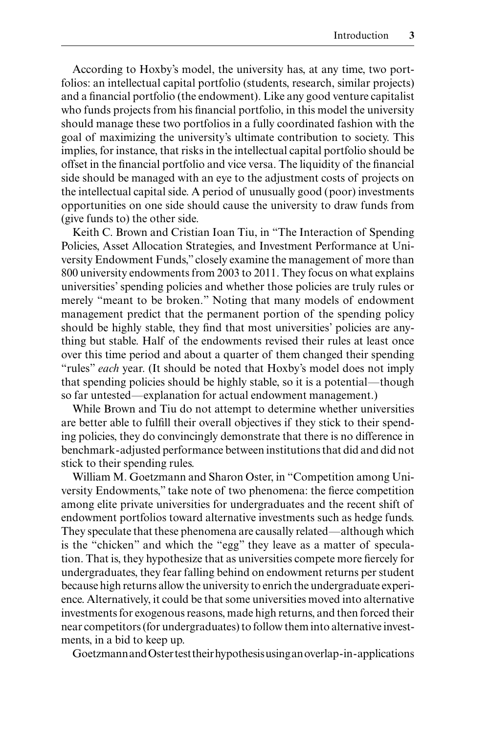According to Hoxby's model, the university has, at any time, two portfolios: an intellectual capital portfolio (students, research, similar projects) and a financial portfolio (the endowment). Like any good venture capitalist who funds projects from his financial portfolio, in this model the university should manage these two portfolios in a fully coordinated fashion with the goal of maximizing the university's ultimate contribution to society. This implies, for instance, that risks in the intellectual capital portfolio should be offset in the financial portfolio and vice versa. The liquidity of the financial side should be managed with an eye to the adjustment costs of projects on the intellectual capital side. A period of unusually good (poor) investments opportunities on one side should cause the university to draw funds from (give funds to) the other side.

Keith C. Brown and Cristian Ioan Tiu, in "The Interaction of Spending Policies, Asset Allocation Strategies, and Investment Performance at University Endowment Funds," closely examine the management of more than 800 university endowments from 2003 to 2011. They focus on what explains universities' spending policies and whether those policies are truly rules or merely "meant to be broken." Noting that many models of endowment management predict that the permanent portion of the spending policy should be highly stable, they find that most universities' policies are anything but stable. Half of the endowments revised their rules at least once over this time period and about a quarter of them changed their spending "rules" *each* year. (It should be noted that Hoxby's model does not imply that spending policies should be highly stable, so it is a potential—though so far untested—explanation for actual endowment management.)

While Brown and Tiu do not attempt to determine whether universities are better able to fulfill their overall objectives if they stick to their spending policies, they do convincingly demonstrate that there is no difference in benchmark-adjusted performance between institutions that did and did not stick to their spending rules.

William M. Goetzmann and Sharon Oster, in "Competition among University Endowments," take note of two phenomena: the fierce competition among elite private universities for undergraduates and the recent shift of endowment portfolios toward alternative investments such as hedge funds. They speculate that these phenomena are causally related—although which is the "chicken" and which the "egg" they leave as a matter of speculation. That is, they hypothesize that as universities compete more fiercely for undergraduates, they fear falling behind on endowment returns per student because high returns allow the university to enrich the undergraduate experience. Alternatively, it could be that some universities moved into alternative investments for exogenous reasons, made high returns, and then forced their near competitors (for undergraduates) to follow them into alternative investments, in a bid to keep up.

Goetzmann and Oster test their hypothesis using an overlap-in-applications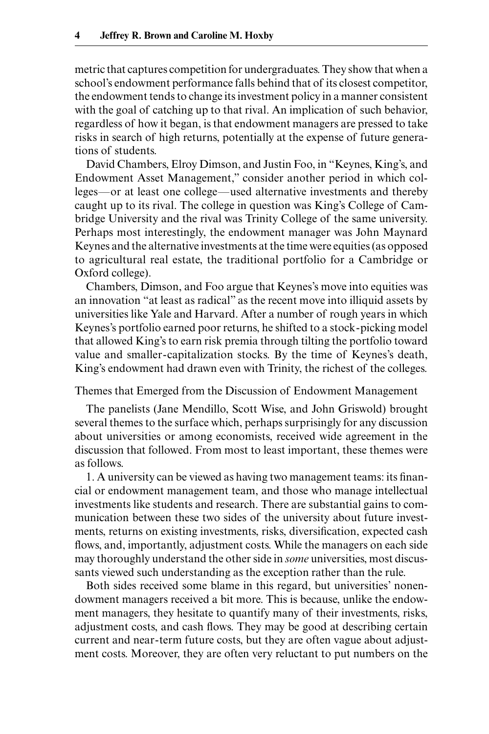metric that captures competition for undergraduates. They show that when a school's endowment performance falls behind that of its closest competitor, the endowment tends to change its investment policy in a manner consistent with the goal of catching up to that rival. An implication of such behavior, regardless of how it began, is that endowment managers are pressed to take risks in search of high returns, potentially at the expense of future generations of students.

David Chambers, Elroy Dimson, and Justin Foo, in "Keynes, King's, and Endowment Asset Management," consider another period in which colleges—or at least one college—used alternative investments and thereby caught up to its rival. The college in question was King's College of Cambridge University and the rival was Trinity College of the same university. Perhaps most interestingly, the endowment manager was John Maynard Keynes and the alternative investments at the time were equities (as opposed to agricultural real estate, the traditional portfolio for a Cambridge or Oxford college).

Chambers, Dimson, and Foo argue that Keynes's move into equities was an innovation "at least as radical" as the recent move into illiquid assets by universities like Yale and Harvard. After a number of rough years in which Keynes's portfolio earned poor returns, he shifted to a stock-picking model that allowed King's to earn risk premia through tilting the portfolio toward value and smaller-capitalization stocks. By the time of Keynes's death, King's endowment had drawn even with Trinity, the richest of the colleges.

#### Themes that Emerged from the Discussion of Endowment Management

The panelists (Jane Mendillo, Scott Wise, and John Griswold) brought several themes to the surface which, perhaps surprisingly for any discussion about universities or among economists, received wide agreement in the discussion that followed. From most to least important, these themes were as follows.

1. A university can be viewed as having two management teams: its financial or endowment management team, and those who manage intellectual investments like students and research. There are substantial gains to communication between these two sides of the university about future investments, returns on existing investments, risks, diversification, expected cash flows, and, importantly, adjustment costs. While the managers on each side may thoroughly understand the other side in *some* universities, most discussants viewed such understanding as the exception rather than the rule.

Both sides received some blame in this regard, but universities' nonendowment managers received a bit more. This is because, unlike the endowment managers, they hesitate to quantify many of their investments, risks, adjustment costs, and cash flows. They may be good at describing certain current and near-term future costs, but they are often vague about adjustment costs. Moreover, they are often very reluctant to put numbers on the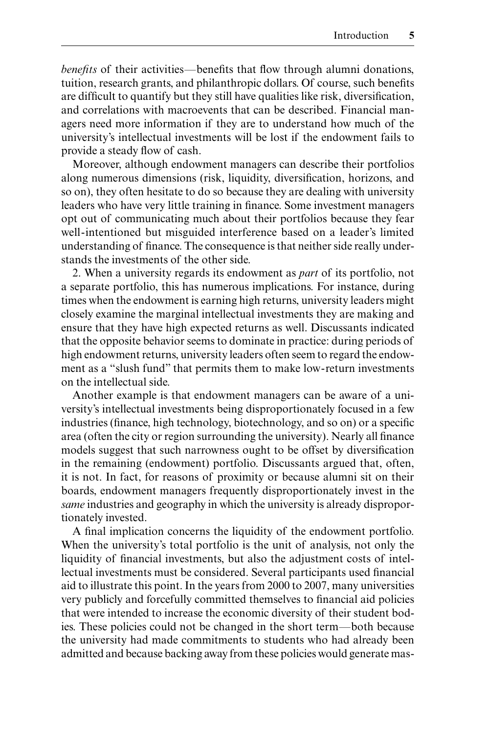*benefits* of their activities—benefits that flow through alumni donations, tuition, research grants, and philanthropic dollars. Of course, such benefits are difficult to quantify but they still have qualities like risk, diversification, and correlations with macroevents that can be described. Financial managers need more information if they are to understand how much of the university's intellectual investments will be lost if the endowment fails to provide a steady flow of cash.

Moreover, although endowment managers can describe their portfolios along numerous dimensions (risk, liquidity, diversification, horizons, and so on), they often hesitate to do so because they are dealing with university leaders who have very little training in finance. Some investment managers opt out of communicating much about their portfolios because they fear well-intentioned but misguided interference based on a leader's limited understanding of finance. The consequence is that neither side really understands the investments of the other side.

2. When a university regards its endowment as *part* of its portfolio, not a separate portfolio, this has numerous implications. For instance, during times when the endowment is earning high returns, university leaders might closely examine the marginal intellectual investments they are making and ensure that they have high expected returns as well. Discussants indicated that the opposite behavior seems to dominate in practice: during periods of high endowment returns, university leaders often seem to regard the endowment as a "slush fund" that permits them to make low-return investments on the intellectual side.

Another example is that endowment managers can be aware of a university's intellectual investments being disproportionately focused in a few industries (finance, high technology, biotechnology, and so on) or a specific area (often the city or region surrounding the university). Nearly all finance models suggest that such narrowness ought to be offset by diversification in the remaining (endowment) portfolio. Discussants argued that, often, it is not. In fact, for reasons of proximity or because alumni sit on their boards, endowment managers frequently disproportionately invest in the *same* industries and geography in which the university is already disproportionately invested.

A final implication concerns the liquidity of the endowment portfolio. When the university's total portfolio is the unit of analysis, not only the liquidity of financial investments, but also the adjustment costs of intellectual investments must be considered. Several participants used financial aid to illustrate this point. In the years from 2000 to 2007, many universities very publicly and forcefully committed themselves to financial aid policies that were intended to increase the economic diversity of their student bodies. These policies could not be changed in the short term—both because the university had made commitments to students who had already been admitted and because backing away from these policies would generate mas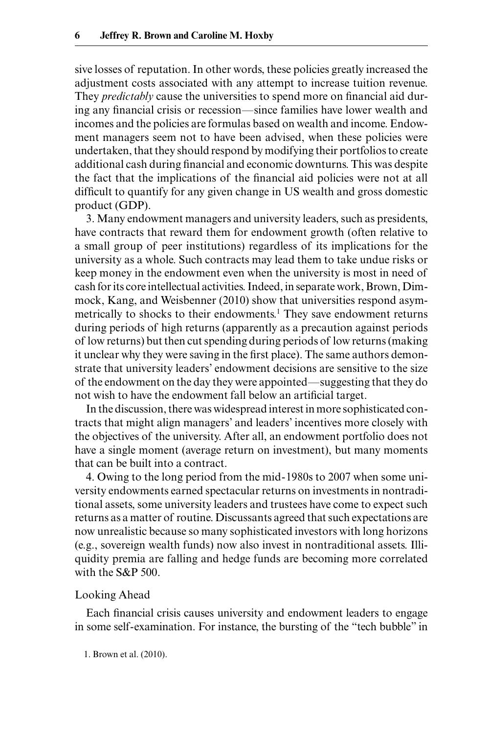sive losses of reputation. In other words, these policies greatly increased the adjustment costs associated with any attempt to increase tuition revenue. They *predictably* cause the universities to spend more on financial aid during any financial crisis or recession—since families have lower wealth and incomes and the policies are formulas based on wealth and income. Endowment managers seem not to have been advised, when these policies were undertaken, that they should respond by modifying their portfolios to create additional cash during financial and economic downturns. This was despite the fact that the implications of the financial aid policies were not at all difficult to quantify for any given change in US wealth and gross domestic product (GDP).

3. Many endowment managers and university leaders, such as presidents, have contracts that reward them for endowment growth (often relative to a small group of peer institutions) regardless of its implications for the university as a whole. Such contracts may lead them to take undue risks or keep money in the endowment even when the university is most in need of cash for its core intellectual activities. Indeed, in separate work, Brown, Dimmock, Kang, and Weisbenner (2010) show that universities respond asymmetrically to shocks to their endowments.<sup>1</sup> They save endowment returns during periods of high returns (apparently as a precaution against periods of low returns) but then cut spending during periods of low returns (making it unclear why they were saving in the first place). The same authors demonstrate that university leaders' endowment decisions are sensitive to the size of the endowment on the day they were appointed—suggesting that they do not wish to have the endowment fall below an artificial target.

In the discussion, there was widespread interest in more sophisticated contracts that might align managers' and leaders' incentives more closely with the objectives of the university. After all, an endowment portfolio does not have a single moment (average return on investment), but many moments that can be built into a contract.

4. Owing to the long period from the mid-1980s to 2007 when some university endowments earned spectacular returns on investments in nontraditional assets, some university leaders and trustees have come to expect such returns as a matter of routine. Discussants agreed that such expectations are now unrealistic because so many sophisticated investors with long horizons (e.g., sovereign wealth funds) now also invest in nontraditional assets. Illiquidity premia are falling and hedge funds are becoming more correlated with the S&P 500.

#### Looking Ahead

Each financial crisis causes university and endowment leaders to engage in some self-examination. For instance, the bursting of the "tech bubble" in

1. Brown et al. (2010).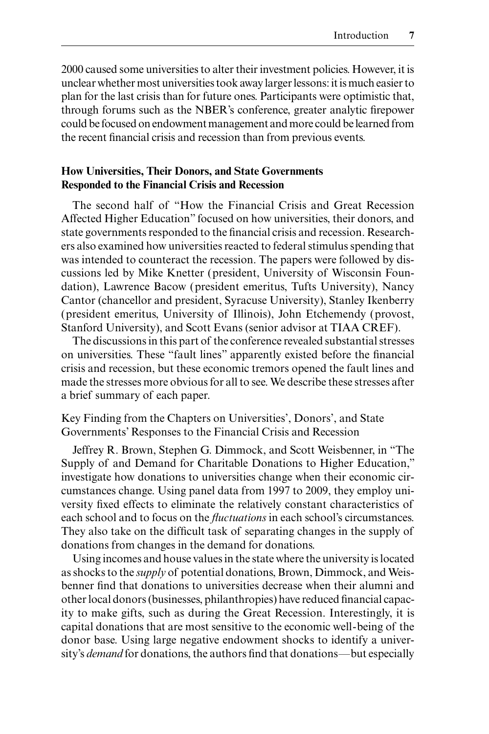2000 caused some universities to alter their investment policies. However, it is unclear whether most universities took away larger lessons: it is much easier to plan for the last crisis than for future ones. Participants were optimistic that, through forums such as the NBER's conference, greater analytic firepower could be focused on endowment management and more could be learned from the recent financial crisis and recession than from previous events.

### **How Universities, Their Donors, and State Governments Responded to the Financial Crisis and Recession**

The second half of "How the Financial Crisis and Great Recession Affected Higher Education" focused on how universities, their donors, and state governments responded to the financial crisis and recession. Researchers also examined how universities reacted to federal stimulus spending that was intended to counteract the recession. The papers were followed by discussions led by Mike Knetter (president, University of Wisconsin Foundation), Lawrence Bacow (president emeritus, Tufts University), Nancy Cantor (chancellor and president, Syracuse University), Stanley Ikenberry (president emeritus, University of Illinois), John Etchemendy (provost, Stanford University), and Scott Evans (senior advisor at TIAA CREF).

The discussions in this part of the conference revealed substantial stresses on universities. These "fault lines" apparently existed before the financial crisis and recession, but these economic tremors opened the fault lines and made the stresses more obvious for all to see. We describe these stresses after a brief summary of each paper.

Key Finding from the Chapters on Universities', Donors', and State Governments' Responses to the Financial Crisis and Recession

Jeffrey R. Brown, Stephen G. Dimmock, and Scott Weisbenner, in "The Supply of and Demand for Charitable Donations to Higher Education," investigate how donations to universities change when their economic circumstances change. Using panel data from 1997 to 2009, they employ university fixed effects to eliminate the relatively constant characteristics of each school and to focus on the *fluctuations* in each school's circumstances. They also take on the difficult task of separating changes in the supply of donations from changes in the demand for donations.

Using incomes and house values in the state where the university is located as shocks to the *supply* of potential donations, Brown, Dimmock, and Weisbenner find that donations to universities decrease when their alumni and other local donors (businesses, philanthropies) have reduced financial capacity to make gifts, such as during the Great Recession. Interestingly, it is capital donations that are most sensitive to the economic well-being of the donor base. Using large negative endowment shocks to identify a university's *demand* for donations, the authors find that donations—but especially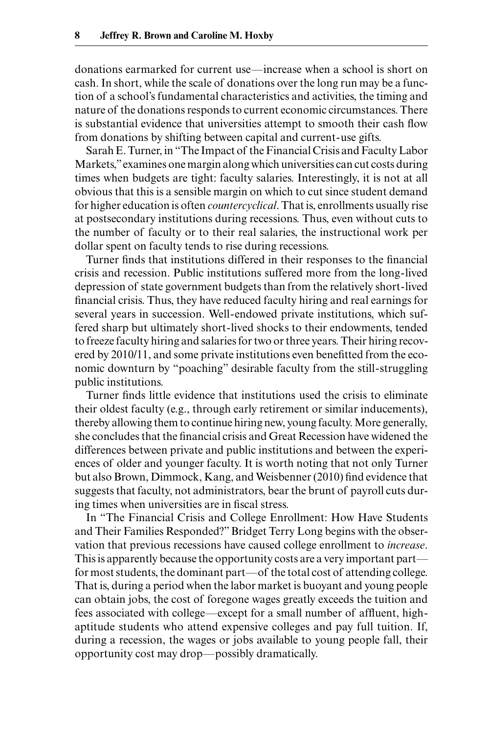donations earmarked for current use—increase when a school is short on cash. In short, while the scale of donations over the long run may be a function of a school's fundamental characteristics and activities, the timing and nature of the donations responds to current economic circumstances. There is substantial evidence that universities attempt to smooth their cash flow from donations by shifting between capital and current-use gifts.

Sarah E. Turner, in "The Impact of the Financial Crisis and Faculty Labor Markets," examines one margin along which universities can cut costs during times when budgets are tight: faculty salaries. Interestingly, it is not at all obvious that this is a sensible margin on which to cut since student demand for higher education is often *countercyclical*. That is, enrollments usually rise at postsecondary institutions during recessions. Thus, even without cuts to the number of faculty or to their real salaries, the instructional work per dollar spent on faculty tends to rise during recessions.

Turner finds that institutions differed in their responses to the financial crisis and recession. Public institutions suffered more from the long-lived depression of state government budgets than from the relatively short-lived financial crisis. Thus, they have reduced faculty hiring and real earnings for several years in succession. Well-endowed private institutions, which suffered sharp but ultimately short-lived shocks to their endowments, tended to freeze faculty hiring and salaries for two or three years. Their hiring recovered by 2010/11, and some private institutions even benefitted from the economic downturn by "poaching" desirable faculty from the still-struggling public institutions.

Turner finds little evidence that institutions used the crisis to eliminate their oldest faculty (e.g., through early retirement or similar inducements), thereby allowing them to continue hiring new, young faculty. More generally, she concludes that the financial crisis and Great Recession have widened the differences between private and public institutions and between the experiences of older and younger faculty. It is worth noting that not only Turner but also Brown, Dimmock, Kang, and Weisbenner (2010) find evidence that suggests that faculty, not administrators, bear the brunt of payroll cuts during times when universities are in fiscal stress.

In "The Financial Crisis and College Enrollment: How Have Students and Their Families Responded?" Bridget Terry Long begins with the observation that previous recessions have caused college enrollment to *increase*. This is apparently because the opportunity costs are a very important part for most students, the dominant part—of the total cost of attending college. That is, during a period when the labor market is buoyant and young people can obtain jobs, the cost of foregone wages greatly exceeds the tuition and fees associated with college—except for a small number of affluent, highaptitude students who attend expensive colleges and pay full tuition. If, during a recession, the wages or jobs available to young people fall, their opportunity cost may drop—possibly dramatically.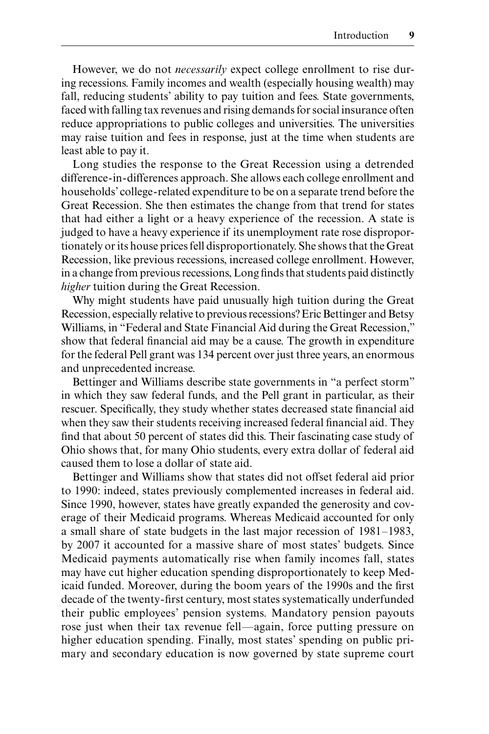However, we do not *necessarily* expect college enrollment to rise during recessions. Family incomes and wealth (especially housing wealth) may fall, reducing students' ability to pay tuition and fees. State governments, faced with falling tax revenues and rising demands for social insurance often reduce appropriations to public colleges and universities. The universities may raise tuition and fees in response, just at the time when students are least able to pay it.

Long studies the response to the Great Recession using a detrended difference-in-differences approach. She allows each college enrollment and households' college-related expenditure to be on a separate trend before the Great Recession. She then estimates the change from that trend for states that had either a light or a heavy experience of the recession. A state is judged to have a heavy experience if its unemployment rate rose disproportionately or its house prices fell disproportionately. She shows that the Great Recession, like previous recessions, increased college enrollment. However, in a change from previous recessions, Long finds that students paid distinctly *higher* tuition during the Great Recession.

Why might students have paid unusually high tuition during the Great Recession, especially relative to previous recessions? Eric Bettinger and Betsy Williams, in "Federal and State Financial Aid during the Great Recession," show that federal financial aid may be a cause. The growth in expenditure for the federal Pell grant was 134 percent over just three years, an enormous and unprecedented increase.

Bettinger and Williams describe state governments in "a perfect storm" in which they saw federal funds, and the Pell grant in particular, as their rescuer. Specifically, they study whether states decreased state financial aid when they saw their students receiving increased federal financial aid. They find that about 50 percent of states did this. Their fascinating case study of Ohio shows that, for many Ohio students, every extra dollar of federal aid caused them to lose a dollar of state aid.

Bettinger and Williams show that states did not offset federal aid prior to 1990: indeed, states previously complemented increases in federal aid. Since 1990, however, states have greatly expanded the generosity and coverage of their Medicaid programs. Whereas Medicaid accounted for only a small share of state budgets in the last major recession of 1981–1983, by 2007 it accounted for a massive share of most states' budgets. Since Medicaid payments automatically rise when family incomes fall, states may have cut higher education spending disproportionately to keep Medicaid funded. Moreover, during the boom years of the 1990s and the first decade of the twenty-first century, most states systematically underfunded their public employees' pension systems. Mandatory pension payouts rose just when their tax revenue fell—again, force putting pressure on higher education spending. Finally, most states' spending on public primary and secondary education is now governed by state supreme court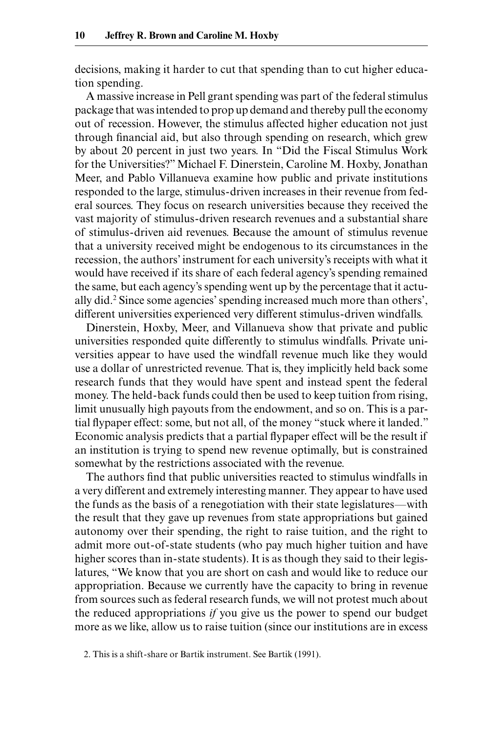decisions, making it harder to cut that spending than to cut higher education spending.

A massive increase in Pell grant spending was part of the federal stimulus package that was intended to prop up demand and thereby pull the economy out of recession. However, the stimulus affected higher education not just through financial aid, but also through spending on research, which grew by about 20 percent in just two years. In "Did the Fiscal Stimulus Work for the Universities?" Michael F. Dinerstein, Caroline M. Hoxby, Jonathan Meer, and Pablo Villanueva examine how public and private institutions responded to the large, stimulus-driven increases in their revenue from federal sources. They focus on research universities because they received the vast majority of stimulus-driven research revenues and a substantial share of stimulus-driven aid revenues. Because the amount of stimulus revenue that a university received might be endogenous to its circumstances in the recession, the authors' instrument for each university's receipts with what it would have received if its share of each federal agency's spending remained the same, but each agency's spending went up by the percentage that it actually did.2 Since some agencies' spending increased much more than others', different universities experienced very different stimulus-driven windfalls.

Dinerstein, Hoxby, Meer, and Villanueva show that private and public universities responded quite differently to stimulus windfalls. Private universities appear to have used the windfall revenue much like they would use a dollar of unrestricted revenue. That is, they implicitly held back some research funds that they would have spent and instead spent the federal money. The held-back funds could then be used to keep tuition from rising, limit unusually high payouts from the endowment, and so on. This is a partial flypaper effect: some, but not all, of the money "stuck where it landed." Economic analysis predicts that a partial flypaper effect will be the result if an institution is trying to spend new revenue optimally, but is constrained somewhat by the restrictions associated with the revenue.

The authors find that public universities reacted to stimulus windfalls in a very different and extremely interesting manner. They appear to have used the funds as the basis of a renegotiation with their state legislatures—with the result that they gave up revenues from state appropriations but gained autonomy over their spending, the right to raise tuition, and the right to admit more out-of-state students (who pay much higher tuition and have higher scores than in-state students). It is as though they said to their legislatures, "We know that you are short on cash and would like to reduce our appropriation. Because we currently have the capacity to bring in revenue from sources such as federal research funds, we will not protest much about the reduced appropriations *if* you give us the power to spend our budget more as we like, allow us to raise tuition (since our institutions are in excess

<sup>2.</sup> This is a shift-share or Bartik instrument. See Bartik (1991).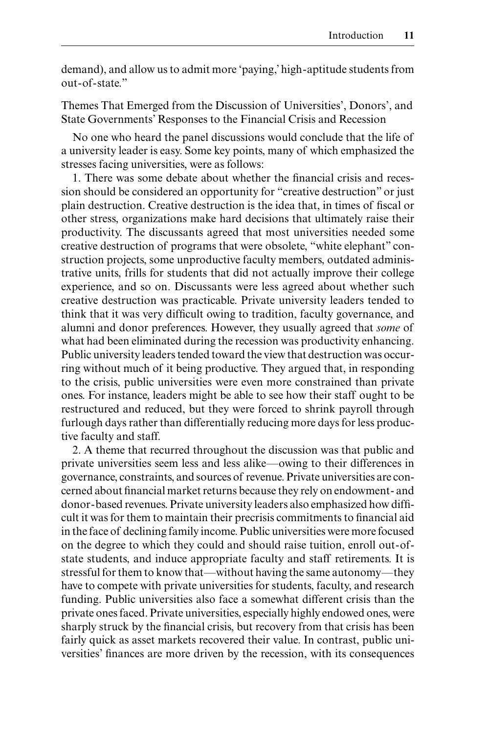demand), and allow us to admit more 'paying,' high-aptitude students from out-of-state."

Themes That Emerged from the Discussion of Universities', Donors', and State Governments' Responses to the Financial Crisis and Recession

No one who heard the panel discussions would conclude that the life of a university leader is easy. Some key points, many of which emphasized the stresses facing universities, were as follows:

1. There was some debate about whether the financial crisis and recession should be considered an opportunity for "creative destruction" or just plain destruction. Creative destruction is the idea that, in times of fiscal or other stress, organizations make hard decisions that ultimately raise their productivity. The discussants agreed that most universities needed some creative destruction of programs that were obsolete, "white elephant" construction projects, some unproductive faculty members, outdated administrative units, frills for students that did not actually improve their college experience, and so on. Discussants were less agreed about whether such creative destruction was practicable. Private university leaders tended to think that it was very difficult owing to tradition, faculty governance, and alumni and donor preferences. However, they usually agreed that *some* of what had been eliminated during the recession was productivity enhancing. Public university leaders tended toward the view that destruction was occurring without much of it being productive. They argued that, in responding to the crisis, public universities were even more constrained than private ones. For instance, leaders might be able to see how their staff ought to be restructured and reduced, but they were forced to shrink payroll through furlough days rather than differentially reducing more days for less productive faculty and staff.

2. A theme that recurred throughout the discussion was that public and private universities seem less and less alike—owing to their differences in governance, constraints, and sources of revenue. Private universities are concerned about financial market returns because they rely on endowment- and donor-based revenues. Private university leaders also emphasized how difficult it was for them to maintain their precrisis commitments to financial aid in the face of declining family income. Public universities were more focused on the degree to which they could and should raise tuition, enroll out-ofstate students, and induce appropriate faculty and staff retirements. It is stressful for them to know that—without having the same autonomy—they have to compete with private universities for students, faculty, and research funding. Public universities also face a somewhat different crisis than the private ones faced. Private universities, especially highly endowed ones, were sharply struck by the financial crisis, but recovery from that crisis has been fairly quick as asset markets recovered their value. In contrast, public universities' finances are more driven by the recession, with its consequences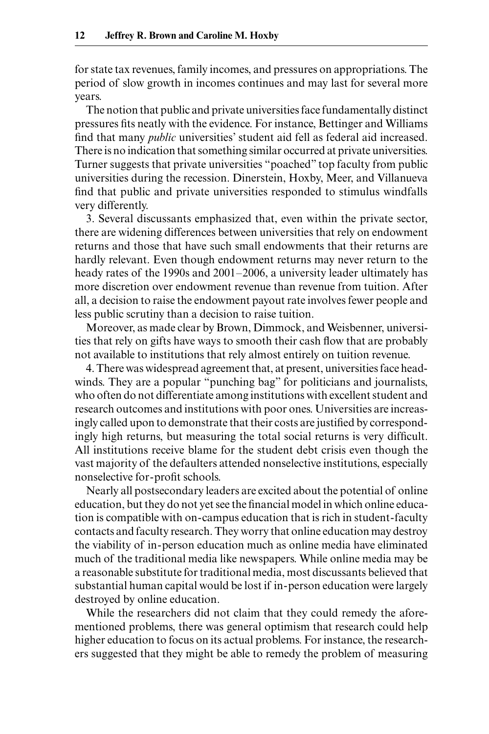for state tax revenues, family incomes, and pressures on appropriations. The period of slow growth in incomes continues and may last for several more years.

The notion that public and private universities face fundamentally distinct pressures fits neatly with the evidence. For instance, Bettinger and Williams find that many *public* universities' student aid fell as federal aid increased. There is no indication that something similar occurred at private universities. Turner suggests that private universities "poached" top faculty from public universities during the recession. Dinerstein, Hoxby, Meer, and Villanueva find that public and private universities responded to stimulus windfalls very differently.

3. Several discussants emphasized that, even within the private sector, there are widening differences between universities that rely on endowment returns and those that have such small endowments that their returns are hardly relevant. Even though endowment returns may never return to the heady rates of the 1990s and 2001–2006, a university leader ultimately has more discretion over endowment revenue than revenue from tuition. After all, a decision to raise the endowment payout rate involves fewer people and less public scrutiny than a decision to raise tuition.

Moreover, as made clear by Brown, Dimmock, and Weisbenner, universities that rely on gifts have ways to smooth their cash flow that are probably not available to institutions that rely almost entirely on tuition revenue.

4. There was widespread agreement that, at present, universities face headwinds. They are a popular "punching bag" for politicians and journalists, who often do not differentiate among institutions with excellent student and research outcomes and institutions with poor ones. Universities are increasingly called upon to demonstrate that their costs are justified by correspondingly high returns, but measuring the total social returns is very difficult. All institutions receive blame for the student debt crisis even though the vast majority of the defaulters attended nonselective institutions, especially nonselective for-profit schools.

Nearly all postsecondary leaders are excited about the potential of online education, but they do not yet see the financial model in which online education is compatible with on-campus education that is rich in student-faculty contacts and faculty research. They worry that online education may destroy the viability of in-person education much as online media have eliminated much of the traditional media like newspapers. While online media may be a reasonable substitute for traditional media, most discussants believed that substantial human capital would be lost if in-person education were largely destroyed by online education.

While the researchers did not claim that they could remedy the aforementioned problems, there was general optimism that research could help higher education to focus on its actual problems. For instance, the researchers suggested that they might be able to remedy the problem of measuring